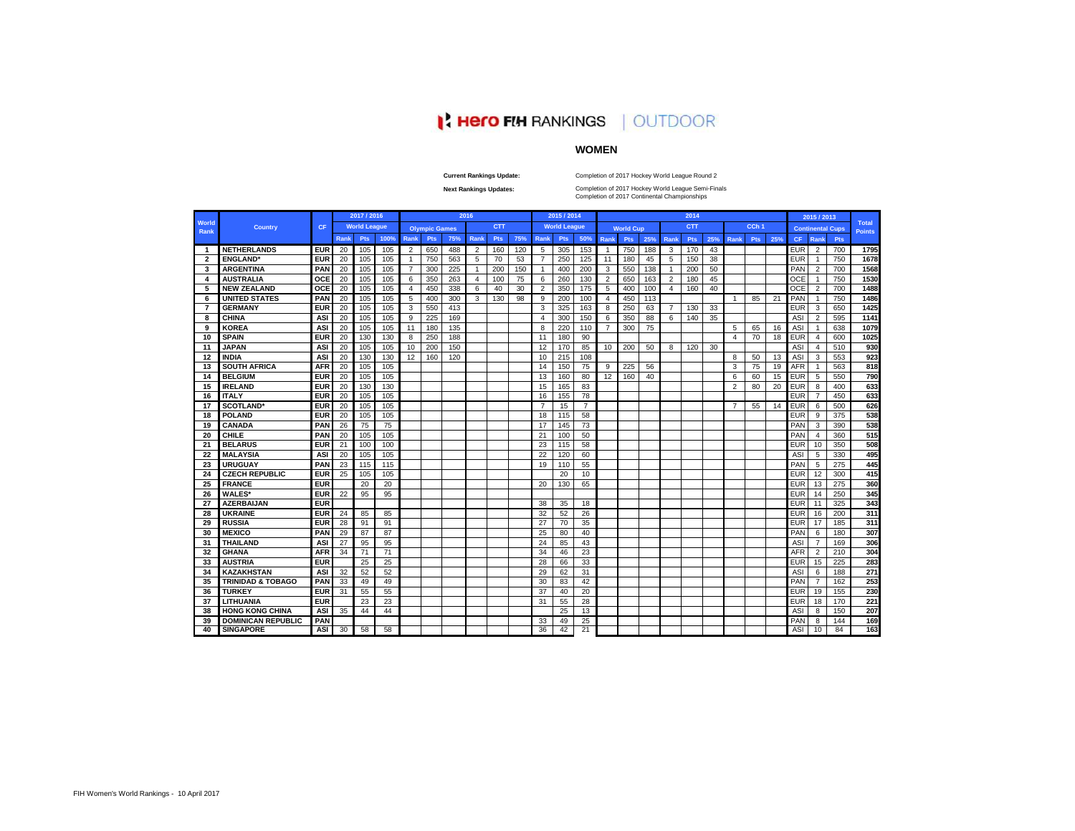# **N: Hero FIH RANKINGS | OUTDOOR**

# **WOMEN**

**Current Rankings Update:**

Completion of 2017 Hockey World League Round 2

**Next Rankings Updates:** 

Completion of 2017 Hockey World League Semi-Finals<br>Completion of 2017 Continental Championships

|                         |                              |            |             | 2017 / 2016         |      |                |                      |     | 2016 |            |     |                | 2015 / 2014         |                |                |                  |     |      | 2014       |     |                |                  |     |            | 2015 / 2013    |                         |                               |
|-------------------------|------------------------------|------------|-------------|---------------------|------|----------------|----------------------|-----|------|------------|-----|----------------|---------------------|----------------|----------------|------------------|-----|------|------------|-----|----------------|------------------|-----|------------|----------------|-------------------------|-------------------------------|
| World<br>Rank           | <b>Country</b>               | CF         |             | <b>World League</b> |      |                | <b>Olympic Games</b> |     |      | <b>CTT</b> |     |                | <b>World League</b> |                |                | <b>World Cup</b> |     |      | <b>CTT</b> |     |                | CCh <sub>1</sub> |     |            |                | <b>Continental Cups</b> | <b>Total</b><br><b>Points</b> |
|                         |                              |            | <b>Rank</b> | Pts                 | 100% | Rank           | Pts                  | 75% | Rank | <b>Pts</b> | 75% | <b>Rank</b>    | Pts                 | 50%            | Rank           | Pts              | 25% | Rank | <b>Pts</b> | 25% | Rank           | <b>Pts</b>       | 25% | <b>CF</b>  | Rank           | Pts                     |                               |
| $\overline{\mathbf{1}}$ | <b>NETHERLANDS</b>           | <b>EUR</b> | 20          | 105                 | 105  | 2              | 650                  | 488 | 2    | 160        | 120 | 5              | 305                 | 153            | $\overline{1}$ | 750              | 188 | 3    | 170        | 43  |                |                  |     | <b>EUR</b> | 2              | 700                     | 1795                          |
| $\overline{\mathbf{2}}$ | <b>ENGLAND</b>               | <b>EUR</b> | 20          | 105                 | 105  | $\overline{1}$ | 750                  | 563 | 5    | 70         | 53  | $\overline{7}$ | 250                 | 125            | 11             | 180              | 45  | 5    | 150        | 38  |                |                  |     | <b>EUR</b> | $\overline{1}$ | 750                     | 1678                          |
| 3                       | <b>ARGENTINA</b>             | PAN        | 20          | 105                 | 105  | $\overline{7}$ | 300                  | 225 | -1   | 200        | 150 | $\mathbf{1}$   | 400                 | 200            | 3              | 550              | 138 | -1   | 200        | 50  |                |                  |     | PAN        | $\overline{2}$ | 700                     | 1568                          |
| 4                       | <b>AUSTRALIA</b>             | OCE        | 20          | 105                 | 105  | 6              | 350                  | 263 | 4    | 100        | 75  | 6              | 260                 | 130            | $\overline{2}$ | 650              | 163 | 2    | 180        | 45  |                |                  |     | OCE        | $\overline{1}$ | 750                     | 1530                          |
| 5                       | <b>NEW ZEALAND</b>           | OCE        | 20          | 105                 | 105  | 4              | 450                  | 338 | 6    | 40         | 30  | $\overline{2}$ | 350                 | 175            | 5              | 400              | 100 | 4    | 160        | 40  |                |                  |     | OCE        | $\overline{2}$ | 700                     | 1488                          |
| 6                       | <b>UNITED STATES</b>         | PAN        | 20          | 105                 | 105  | 5              | 400                  | 300 | 3    | 130        | 98  | 9              | 200                 | 100            | $\overline{4}$ | 450              | 113 |      |            |     | $\overline{1}$ | 85               | 21  | PAN        | -1             | 750                     | 1486                          |
| 7                       | <b>GERMANY</b>               | <b>EUR</b> | 20          | 105                 | 105  | 3              | 550                  | 413 |      |            |     | 3              | 325                 | 163            | 8              | 250              | 63  | 7    | 130        | 33  |                |                  |     | <b>EUR</b> | 3              | 650                     | 1425                          |
| 8                       | <b>CHINA</b>                 | ASI        | 20          | 105                 | 105  | 9              | 225                  | 169 |      |            |     | 4              | 300                 | 150            | 6              | 350              | 88  | 6    | 140        | 35  |                |                  |     | ASI        | $\overline{2}$ | 595                     | 1141                          |
| 9                       | <b>KOREA</b>                 | ASI        | 20          | 105                 | 105  | 11             | 180                  | 135 |      |            |     | 8              | 220                 | 110            | $\overline{7}$ | 300              | 75  |      |            |     | 5              | 65               | 16  | <b>ASI</b> | -1             | 638                     | 1079                          |
| 10                      | <b>SPAIN</b>                 | <b>EUR</b> | 20          | 130                 | 130  | 8              | 250                  | 188 |      |            |     | 11             | 180                 | 90             |                |                  |     |      |            |     | 4              | 70               | 18  | <b>EUR</b> | $\overline{4}$ | 600                     | 1025                          |
| 11                      | <b>JAPAN</b>                 | ASI        | 20          | 105                 | 105  | 10             | 200                  | 150 |      |            |     | 12             | 170                 | 85             | 10             | 200              | 50  | 8    | 120        | 30  |                |                  |     | ASI        | $\overline{4}$ | 510                     | 930                           |
| 12                      | <b>INDIA</b>                 | ASI        | 20          | 130                 | 130  | 12             | 160                  | 120 |      |            |     | 10             | 215                 | 108            |                |                  |     |      |            |     | 8              | 50               | 13  | ASI        | 3              | 553                     | 923                           |
| 13                      | <b>SOUTH AFRICA</b>          | <b>AFR</b> | 20          | 105                 | 105  |                |                      |     |      |            |     | 14             | 150                 | 75             | 9              | 225              | 56  |      |            |     | 3              | 75               | 19  | <b>AFR</b> | -1             | 563                     | 818                           |
| 14                      | <b>BELGIUM</b>               | EUR        | 20          | 105                 | 105  |                |                      |     |      |            |     | 13             | 160                 | 80             | 12             | 160              | 40  |      |            |     | 6              | 60               | 15  | <b>EUR</b> | 5              | 550                     | 790                           |
| 15                      | <b>IRELAND</b>               | <b>EUR</b> | 20          | 130                 | 130  |                |                      |     |      |            |     | 15             | 165                 | 83             |                |                  |     |      |            |     | $\overline{2}$ | 80               | 20  | <b>EUR</b> | 8              | 400                     | 633                           |
| 16                      | <b>ITALY</b>                 | <b>EUR</b> | 20          | 105                 | 105  |                |                      |     |      |            |     | 16             | 155                 | 78             |                |                  |     |      |            |     |                |                  |     | <b>EUR</b> | $\overline{7}$ | 450                     | 633                           |
| 17                      | <b>SCOTLAND</b> *            | <b>EUR</b> | 20          | 105                 | 105  |                |                      |     |      |            |     | $\overline{7}$ | 15                  | $\overline{7}$ |                |                  |     |      |            |     | 7              | 55               | 14  | <b>EUR</b> | 6              | 500                     | 626                           |
| 18                      | <b>POLAND</b>                | <b>EUR</b> | 20          | 105                 | 105  |                |                      |     |      |            |     | 18             | 115                 | 58             |                |                  |     |      |            |     |                |                  |     | <b>EUR</b> | 9              | 375                     | 538                           |
| 19                      | <b>CANADA</b>                | PAN        | 26          | 75                  | 75   |                |                      |     |      |            |     | 17             | 145                 | 73             |                |                  |     |      |            |     |                |                  |     | PAN        | 3              | 390                     | 538                           |
| 20                      | <b>CHILE</b>                 | PAN        | 20          | 105                 | 105  |                |                      |     |      |            |     | 21             | 100                 | 50             |                |                  |     |      |            |     |                |                  |     | PAN        | $\overline{4}$ | 360                     | 515                           |
| 21                      | <b>BELARUS</b>               | <b>EUR</b> | 21          | 100                 | 100  |                |                      |     |      |            |     | 23             | 115                 | 58             |                |                  |     |      |            |     |                |                  |     | EUR        | 10             | 350                     | 508                           |
| 22                      | <b>MALAYSIA</b>              | ASI        | 20          | 105                 | 105  |                |                      |     |      |            |     | 22             | 120                 | 60             |                |                  |     |      |            |     |                |                  |     | ASI        | 5              | 330                     | 495                           |
| 23                      | <b>URUGUAY</b>               | PAN        | 23          | 115                 | 115  |                |                      |     |      |            |     | 19             | 110                 | 55             |                |                  |     |      |            |     |                |                  |     | PAN        | 5              | 275                     | 445                           |
| 24                      | <b>CZECH REPUBLIC</b>        | <b>EUR</b> | 25          | 105                 | 105  |                |                      |     |      |            |     |                | 20                  | 10             |                |                  |     |      |            |     |                |                  |     | EUR        | 12             | 300                     | 415                           |
| 25                      | <b>FRANCE</b>                | <b>EUR</b> |             | 20                  | 20   |                |                      |     |      |            |     | 20             | 130                 | 65             |                |                  |     |      |            |     |                |                  |     | <b>EUR</b> | 13             | 275                     | 360                           |
| 26                      | <b>WALES*</b>                | <b>EUR</b> | 22          | 95                  | 95   |                |                      |     |      |            |     |                |                     |                |                |                  |     |      |            |     |                |                  |     | <b>EUR</b> | 14             | 250                     | 345                           |
| 27                      | <b>AZERBAIJAN</b>            | <b>EUR</b> |             |                     |      |                |                      |     |      |            |     | 38             | 35                  | 18             |                |                  |     |      |            |     |                |                  |     | <b>EUR</b> | 11             | 325                     | 343                           |
| 28                      | <b>UKRAINE</b>               | <b>EUR</b> | 24          | 85                  | 85   |                |                      |     |      |            |     | 32             | 52                  | 26             |                |                  |     |      |            |     |                |                  |     | <b>EUR</b> | 16             | 200                     | 311                           |
| 29                      | <b>RUSSIA</b>                | <b>EUR</b> | 28          | 91                  | 91   |                |                      |     |      |            |     | 27             | 70                  | 35             |                |                  |     |      |            |     |                |                  |     | <b>EUR</b> | 17             | 185                     | 311                           |
| 30                      | <b>MEXICO</b>                | PAN        | 29          | 87                  | 87   |                |                      |     |      |            |     | 25             | 80                  | 40             |                |                  |     |      |            |     |                |                  |     | PAN        | 6              | 180                     | 307                           |
| 31                      | <b>THAILAND</b>              | ASI        | 27          | 95                  | 95   |                |                      |     |      |            |     | 24             | 85                  | 43             |                |                  |     |      |            |     |                |                  |     | ASI        | $\overline{7}$ | 169                     | 306                           |
| 32                      | <b>GHANA</b>                 | <b>AFR</b> | 34          | 71                  | 71   |                |                      |     |      |            |     | 34             | 46                  | 23             |                |                  |     |      |            |     |                |                  |     | <b>AFR</b> | $\overline{2}$ | 210                     | 304                           |
| 33                      | <b>AUSTRIA</b>               | <b>EUR</b> |             | 25                  | 25   |                |                      |     |      |            |     | 28             | 66                  | 33             |                |                  |     |      |            |     |                |                  |     | <b>EUR</b> | 15             | 225                     | 283                           |
| 34                      | <b>KAZAKHSTAN</b>            | ASI        | 32          | 52                  | 52   |                |                      |     |      |            |     | 29             | 62                  | 31             |                |                  |     |      |            |     |                |                  |     | ASI        | 6              | 188                     | 271                           |
| 35                      | <b>TRINIDAD &amp; TOBAGO</b> | PAN        | 33          | 49                  | 49   |                |                      |     |      |            |     | 30             | 83                  | 42             |                |                  |     |      |            |     |                |                  |     | PAN        | 7              | 162                     | 253                           |
| 36                      | <b>TURKEY</b>                | <b>EUR</b> | 31          | 55                  | 55   |                |                      |     |      |            |     | 37             | 40                  | 20             |                |                  |     |      |            |     |                |                  |     | <b>EUR</b> | 19             | 155                     | 230                           |
| 37                      | LITHUANIA                    | <b>EUR</b> |             | 23                  | 23   |                |                      |     |      |            |     | 31             | 55                  | 28             |                |                  |     |      |            |     |                |                  |     | <b>EUR</b> | 18             | 170                     | 221                           |
| 38                      | <b>HONG KONG CHINA</b>       | ASI        | 35          | 44                  | 44   |                |                      |     |      |            |     |                | 25                  | 13             |                |                  |     |      |            |     |                |                  |     | AS         | 8              | 150                     | 207                           |
| 39                      | <b>DOMINICAN REPUBLIC</b>    | PAN        |             |                     |      |                |                      |     |      |            |     | 33             | 49                  | 25             |                |                  |     |      |            |     |                |                  |     | PAN        | 8              | 144                     | 169                           |
| 40                      | <b>SINGAPORE</b>             | <b>ASI</b> | 30          | 58                  | 58   |                |                      |     |      |            |     | 36             | 42                  | 21             |                |                  |     |      |            |     |                |                  |     | <b>ASI</b> | 10             | 84                      | 163                           |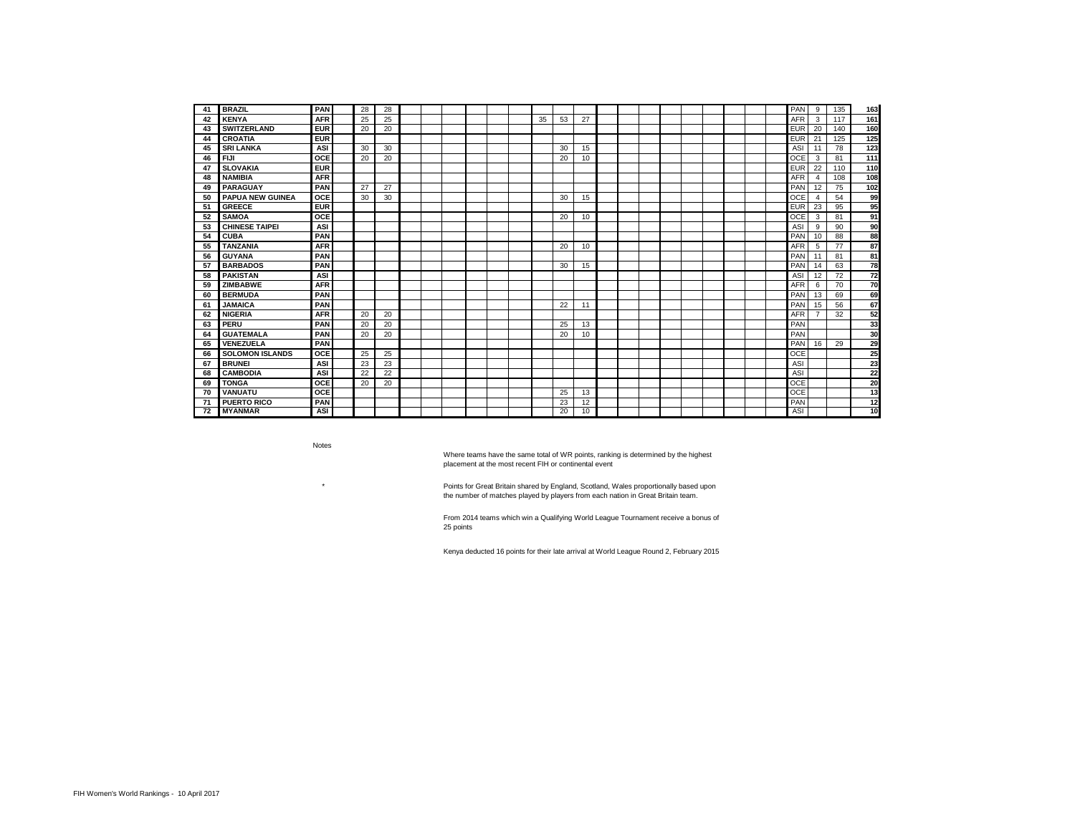| 41  | <b>BRAZIL</b>           | PAN        | 28 | 28 |  |  |  |    |    |    |  |  |  |  | PAN        | 9              | 135 | 163             |
|-----|-------------------------|------------|----|----|--|--|--|----|----|----|--|--|--|--|------------|----------------|-----|-----------------|
| 42  | <b>KENYA</b>            | <b>AFR</b> | 25 | 25 |  |  |  | 35 | 53 | 27 |  |  |  |  | <b>AFR</b> | 3              | 117 | 161             |
| 43  | <b>SWITZERLAND</b>      | <b>EUR</b> | 20 | 20 |  |  |  |    |    |    |  |  |  |  | <b>EUR</b> | 20             | 140 | 160             |
| 44  | <b>CROATIA</b>          | <b>EUR</b> |    |    |  |  |  |    |    |    |  |  |  |  | <b>EUR</b> | 21             | 125 | 125             |
| 45  | <b>SRI LANKA</b>        | ASI        | 30 | 30 |  |  |  |    | 30 | 15 |  |  |  |  | ASI        | 11             | 78  | 123             |
| 46  | <b>FIJI</b>             | OCE        | 20 | 20 |  |  |  |    | 20 | 10 |  |  |  |  | OCF        | 3              | 81  | 111             |
| 47  | <b>SLOVAKIA</b>         | <b>EUR</b> |    |    |  |  |  |    |    |    |  |  |  |  | <b>EUR</b> | 22             | 110 | 110             |
| 48  | <b>NAMIBIA</b>          | <b>AFR</b> |    |    |  |  |  |    |    |    |  |  |  |  | <b>AFR</b> | $\overline{4}$ | 108 | 108             |
| 49  | <b>PARAGUAY</b>         | PAN        | 27 | 27 |  |  |  |    |    |    |  |  |  |  | PAN        | 12             | 75  | 102             |
| 50  | <b>PAPUA NEW GUINEA</b> | <b>OCE</b> | 30 | 30 |  |  |  |    | 30 | 15 |  |  |  |  | OCE        | $\overline{4}$ | 54  | 99              |
| 51  | <b>GREECE</b>           | <b>EUR</b> |    |    |  |  |  |    |    |    |  |  |  |  | <b>EUR</b> | 23             | 95  | 95              |
| 52  | <b>SAMOA</b>            | <b>OCE</b> |    |    |  |  |  |    | 20 | 10 |  |  |  |  | OCE        | 3              | 81  | 91              |
| 53  | <b>CHINESE TAIPEI</b>   | ASI        |    |    |  |  |  |    |    |    |  |  |  |  | ASI        | 9              | 90  | 90              |
| 54  | <b>CUBA</b>             | PAN        |    |    |  |  |  |    |    |    |  |  |  |  | PAN        | 10             | 88  | 88              |
| 55  | <b>TANZANIA</b>         | <b>AFR</b> |    |    |  |  |  |    | 20 | 10 |  |  |  |  | <b>AFR</b> | 5              | 77  | 87              |
| 56  | <b>GUYANA</b>           | PAN        |    |    |  |  |  |    |    |    |  |  |  |  | PAN        | 11             | 81  | 81              |
| 57  | <b>BARBADOS</b>         | PAN        |    |    |  |  |  |    | 30 | 15 |  |  |  |  | PAN        | -14            | 63  | 78              |
| 58  | <b>PAKISTAN</b>         | ASI        |    |    |  |  |  |    |    |    |  |  |  |  | ASI        | 12             | 72  | $\overline{72}$ |
| 59  | <b>ZIMBABWE</b>         | <b>AFR</b> |    |    |  |  |  |    |    |    |  |  |  |  | <b>AFR</b> | 6              | 70  | 70              |
| 60  | <b>BERMUDA</b>          | PAN        |    |    |  |  |  |    |    |    |  |  |  |  | PAN        | 13             | 69  | 69              |
| 61  | <b>JAMAICA</b>          | PAN        |    |    |  |  |  |    | 22 | 11 |  |  |  |  | PAN        | 15             | 56  | 67              |
| 62  | <b>NIGERIA</b>          | <b>AFR</b> | 20 | 20 |  |  |  |    |    |    |  |  |  |  | <b>AFR</b> | 7              | 32  | 52              |
| 63  | PERU                    | PAN        | 20 | 20 |  |  |  |    | 25 | 13 |  |  |  |  | PAN        |                |     | 33              |
| 64  | <b>GUATEMALA</b>        | PAN        | 20 | 20 |  |  |  |    | 20 | 10 |  |  |  |  | PAN        |                |     | 30              |
| 65  | VENEZUELA               | PAN        |    |    |  |  |  |    |    |    |  |  |  |  | PAN        | 16             | 29  | 29              |
| 66  | <b>SOLOMON ISLANDS</b>  | OCE        | 25 | 25 |  |  |  |    |    |    |  |  |  |  | OCE        |                |     | 25              |
| 67  | <b>BRUNEI</b>           | ASI        | 23 | 23 |  |  |  |    |    |    |  |  |  |  | ASI        |                |     | 23              |
| 68  | <b>CAMBODIA</b>         | ASI        | 22 | 22 |  |  |  |    |    |    |  |  |  |  | ASI        |                |     | 22              |
| 69  | <b>TONGA</b>            | OCE        | 20 | 20 |  |  |  |    |    |    |  |  |  |  | OCE        |                |     | 20              |
| 70  | <b>VANUATU</b>          | OCE        |    |    |  |  |  |    | 25 | 13 |  |  |  |  | <b>OCE</b> |                |     | 13              |
| -71 | <b>PUERTO RICO</b>      | PAN        |    |    |  |  |  |    | 23 | 12 |  |  |  |  | PAN        |                |     | 12              |
| 72  | <b>MYANMAR</b>          | <b>ASI</b> |    |    |  |  |  |    | 20 | 10 |  |  |  |  | <b>ASI</b> |                |     | $\overline{10}$ |

Notes

\*

Where teams have the same total of WR points, ranking is determined by the highest placement at the most recent FIH or continental event

Points for Great Britain shared by England, Scotland, Wales proportionally based upon the number of matches played by players from each nation in Great Britain team.

From 2014 teams which win a Qualifying World League Tournament receive a bonus of 25 points

Kenya deducted 16 points for their late arrival at World League Round 2, February 2015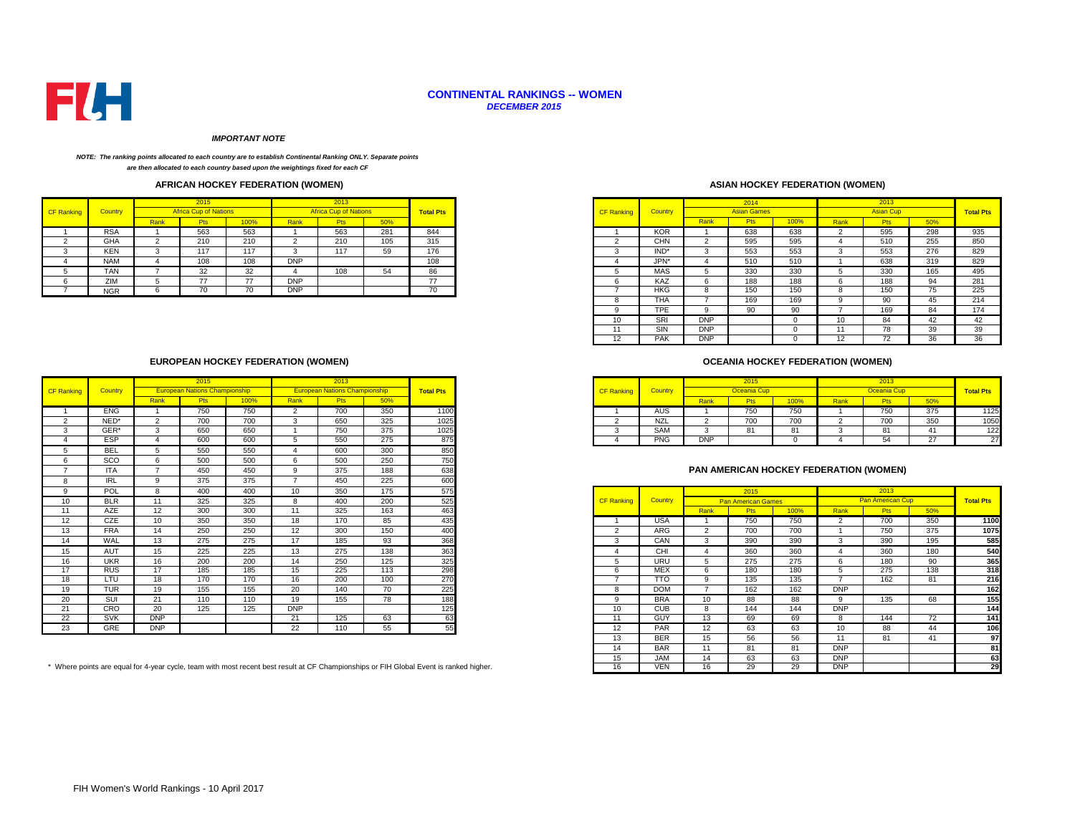

#### **CONTINENTAL RANKINGS -- WOMEN** *DECEMBER 2015*

#### *IMPORTANT NOTE*

#### *NOTE: The ranking points allocated to each country are to establish Continental Ranking ONLY. Separate points are then allocated to each country based upon the weightings fixed for each CF*

## **AFRICAN HOCKEY FEDERATION (WOMEN)**

|            |            |      |                              |      |            | 2013                         |     |                  |
|------------|------------|------|------------------------------|------|------------|------------------------------|-----|------------------|
| CF Ranking | Country    |      | <b>Africa Cup of Nations</b> |      |            | <b>Africa Cup of Nations</b> |     | <b>Total Pts</b> |
|            |            | Rank | <b>Pts</b>                   | 100% | Rank       | <b>Pts</b>                   | 50% |                  |
|            | <b>RSA</b> |      | 563                          | 563  |            | 563                          | 281 | 844              |
|            | <b>GHA</b> |      | 210                          | 210  |            | 210                          | 105 | 315              |
|            | <b>KEN</b> |      | 117                          | 117  |            | 117                          | ວອ  | 176              |
|            | <b>NAM</b> |      | 108                          | 108  | <b>DNP</b> |                              |     | 108              |
|            | TAN        |      | 32<br>ےت                     | 32   |            | 108                          |     |                  |
|            | ZIM        |      | $\rightarrow$                | --   | <b>DNP</b> |                              |     |                  |
|            | <b>NGR</b> |      | 70                           |      | <b>DNP</b> |                              |     | $\sim$<br>70     |

## **ASIAN HOCKEY FEDERATION (WOMEN)**

| 2015                         |      |            | 2013                         |     |                  |                   |                |            | 2014               |      |          | 2013             |     |                  |
|------------------------------|------|------------|------------------------------|-----|------------------|-------------------|----------------|------------|--------------------|------|----------|------------------|-----|------------------|
| <b>Africa Cup of Nations</b> |      |            | <b>Africa Cup of Nations</b> |     | <b>Total Pts</b> | <b>CF Ranking</b> | <b>Country</b> |            | <b>Asian Games</b> |      |          | <b>Asian Cup</b> |     | <b>Total Pts</b> |
| <b>Pts</b>                   | 100% | Rank       | Pts                          | 50% |                  |                   |                | Rank       | <b>Pts</b>         | 100% | Rank     | <b>Pts</b>       | 50% |                  |
| 563<br>563                   |      |            | 563                          | 281 | 844              |                   | <b>KOR</b>     |            | 638                | 638  |          | 595              | 298 | 935              |
| 210                          | 210  |            | 210                          | 105 | 315              |                   | <b>CHN</b>     | $\sim$     | 595                | 595  |          | 510              | 255 | 850              |
| 117                          | 117  | -5         | 117                          | 59  | 176              | 3                 | IND*           | -5         | 553                | 553  | 3        | 553              | 276 | 829              |
| 108                          | 108  | <b>DNP</b> |                              |     | 108              | 4                 | JPN*           |            | 510                | 510  |          | 638              | 319 | 829              |
| 32                           | 32   |            | 108                          | 54  | 86               |                   | <b>MAS</b>     |            | 330                | 330  |          | 330              | 165 | 495              |
| 77                           | 77   | <b>DNP</b> |                              |     | 77               | 6                 | KAZ            | 6          | 188                | 188  | h        | 188              | 94  | 281              |
| 70<br>70                     |      | <b>DNP</b> |                              |     | 70               |                   | HKG            | 8          | 150                | 150  | $\Omega$ | 150              | 75  | 225              |
|                              |      |            |                              |     |                  | $\Omega$<br>ŏ     | <b>THA</b>     |            | 169                | 169  |          | 90               | 45  | 214              |
|                              |      |            |                              |     |                  | 9                 | TPE            | o          | 90                 | 90   |          | 169              | 84  | 174              |
|                              |      |            |                              |     |                  | 10                | SRI            | <b>DNP</b> |                    |      | 10       | 84               | 42  | 42               |
|                              |      |            |                              |     |                  |                   | SIN            | <b>DNP</b> |                    |      |          | 78               | 39  | 39               |
|                              |      |            |                              |     |                  | 12                | <b>PAK</b>     | <b>DNP</b> |                    |      | 12       | 72               | 36  | 36               |

## **OCEANIA HOCKEY FEDERATION (WOMEN)**

|            |            |                                      |            |      |                                      |     |                  |                   |                                         |            |                                  |      |      | 2013 |            |                  |
|------------|------------|--------------------------------------|------------|------|--------------------------------------|-----|------------------|-------------------|-----------------------------------------|------------|----------------------------------|------|------|------|------------|------------------|
| Country    |            | <b>European Nations Championship</b> |            |      | <b>European Nations Championship</b> |     | <b>Total Pts</b> | <b>CF Ranking</b> | <b><i><u>Countries</u></i></b><br>Count |            |                                  |      |      |      |            | <b>Total Pts</b> |
|            | <b>Ran</b> |                                      | <u>UU%</u> | Rank | <u>ະເຈ</u>                           |     |                  |                   |                                         | kank       |                                  | 100% | Rank |      | 50%        |                  |
| <b>ENG</b> |            | 750                                  | 750        |      | $\overline{\phantom{a}}$<br>vv       | 350 | 1100             |                   | AUS                                     |            | 750<br>7 JU                      | 750  |      | 750  | 375        |                  |
| NED*       |            | $\sim$ 0.0<br>∘ ∪∪                   | 700        |      | 650                                  | 325 | 1025             |                   | <b>NZL</b>                              |            | $\overline{\phantom{a}}$<br>1 UU | 700  |      | 700  | 250<br>ບບບ |                  |
| GER*       |            | 650                                  | 650        |      | 750                                  | 375 | 1025             |                   | SAM                                     |            |                                  | 61   |      |      |            |                  |
| ESP        |            | 60C                                  | 600        |      | 550                                  | 275 | $-875$           |                   | <b>PNG</b>                              | <b>DNP</b> |                                  |      |      |      |            |                  |

## **PAN AMERICAN HOCKEY FEDERATION (WOMEN)**

|                 | POL        |            | 400 | 400 | 10         | 350                                                                                                                                 | 175 | 575 |                   |            |               | 2015                      |      |            | 2013                    |     |                  |
|-----------------|------------|------------|-----|-----|------------|-------------------------------------------------------------------------------------------------------------------------------------|-----|-----|-------------------|------------|---------------|---------------------------|------|------------|-------------------------|-----|------------------|
| 10              | <b>BLR</b> | 11         | 325 | 325 | 8          | 400                                                                                                                                 | 200 | 525 | <b>CF Ranking</b> | Country    |               | <b>Pan American Games</b> |      |            | <b>Pan American Cup</b> |     | <b>Total Pts</b> |
| 11              | AZE        | 12         | 300 | 300 | 11         | 325                                                                                                                                 | 163 | 463 |                   |            | Rank          | <b>Pts</b>                | 100% | Rank       | <b>Pts</b>              | 50% |                  |
| 12 <sup>°</sup> | CZE        | 10         | 350 | 350 | 18         | 170                                                                                                                                 | 85  | 435 |                   | <b>USA</b> |               | 750                       | 750  |            | 700                     | 350 | 1100             |
| 13              | <b>FRA</b> | 14         | 250 | 250 | 12         | 300                                                                                                                                 | 150 | 400 |                   | ARG        | $\mathcal{D}$ | 700                       | 700  |            | 750                     | 375 | 1075             |
| 14              | WAL        | 13         | 275 | 275 | 17         | 185                                                                                                                                 | 93  | 368 |                   | CAN        |               | 390                       | 390  | 3          | 390                     | 195 | 585              |
| 15              | AUT        | 15         | 225 | 225 | 13         | 275                                                                                                                                 | 138 | 363 |                   | CHI        |               | 360                       | 360  |            | 360                     | 180 | 540              |
| 16              | <b>UKR</b> | 16         | 200 | 200 | 14         | 250                                                                                                                                 | 125 | 325 |                   | <b>URU</b> |               | 275                       | 275  | 6          | 180                     | 90  | 365              |
| 17              | <b>RUS</b> | 17         | 185 | 185 | 15         | 225                                                                                                                                 | 113 | 298 |                   | <b>MEX</b> |               | 180                       | 180  |            | 275                     | 138 | 318              |
| 18              | LTU        | 18         | 170 | 170 | 16         | 200                                                                                                                                 | 100 | 270 |                   | <b>TTO</b> |               | 135                       | 135  |            | 162                     | 81  | 216              |
| 19              | <b>TUR</b> | 19         | 155 | 155 | 20         | 140                                                                                                                                 | 70  | 225 |                   | <b>DOM</b> |               | 162                       | 162  | <b>DNP</b> |                         |     | 162              |
| 20              | SUI        | 21         | 110 | 110 | 19         | 155                                                                                                                                 | 78  | 188 |                   | <b>BRA</b> | 10            | 88                        | 88   | 9          | 135                     | 68  | 155              |
| 21              | CRO        | 20         | 125 | 125 | <b>DNP</b> |                                                                                                                                     |     | 125 | 10                | <b>CUB</b> |               | 144                       | 144  | <b>DNP</b> |                         |     | 144              |
| 22              | <b>SVK</b> | <b>DNP</b> |     |     | 21         | 125                                                                                                                                 | 63  | 63  | 11                | <b>GUY</b> | 13            | 69                        | 69   | 8          | 144                     | 72  | 141              |
| 23              | GRE        | <b>DNP</b> |     |     | 22         | 110                                                                                                                                 | 55  | 55  | 12                | <b>PAR</b> | 12            | 63                        | 63   | 10         | 88                      | 44  | 106              |
|                 |            |            |     |     |            |                                                                                                                                     |     |     | 13                | <b>BER</b> | 15            | 56                        | 56   | 11         | 81                      | 41  | 97               |
|                 |            |            |     |     |            |                                                                                                                                     |     |     | 14                | <b>BAR</b> | 11            | 81                        | 81   | <b>DNP</b> |                         |     | 81               |
|                 |            |            |     |     |            |                                                                                                                                     |     |     | 15                | <b>JAM</b> | 14            | 63                        | 63   | <b>DNP</b> |                         |     | 63               |
|                 |            |            |     |     |            | here points are equal for 4-year cycle, team with most recent best result at CF Championships or FIH Global Event is ranked higher. |     |     | 16                | <b>VEN</b> | 16            | 29                        | 29   | <b>DNP</b> |                         |     | 29               |

## **EUROPEAN HOCKEY FEDERATION (WOMEN)**

|                   |                   |                                                                                                                                                                                                                                                                                                                                                           | 2015                                 |     |                          | 2013                                 |      |                  |                   |            |                | 2015                      |      |                                               | 2013             |     |
|-------------------|-------------------|-----------------------------------------------------------------------------------------------------------------------------------------------------------------------------------------------------------------------------------------------------------------------------------------------------------------------------------------------------------|--------------------------------------|-----|--------------------------|--------------------------------------|------|------------------|-------------------|------------|----------------|---------------------------|------|-----------------------------------------------|------------------|-----|
| <b>CF Ranking</b> | Country           |                                                                                                                                                                                                                                                                                                                                                           | <b>European Nations Championship</b> |     |                          | <b>European Nations Championship</b> |      | <b>Total Pts</b> | <b>CF Ranking</b> | Country    |                | Oceania Cup               |      |                                               | Oceania Cup      |     |
|                   |                   | Rank<br>Rank<br>Pts<br>100%<br><b>Pts</b><br>50%<br>750<br>1100<br>750<br>350<br>700<br>2<br>1025<br>325<br>700<br>700<br>650<br>$\overline{2}$<br>3<br>650<br>750<br>1025<br>650<br>375<br>3<br>875<br>600<br>550<br>275<br>600<br>4<br>5<br>850<br>550<br>550<br>300<br>600<br>5<br>$\boldsymbol{\Lambda}$<br>750<br>500<br>500<br>500<br>250<br>6<br>6 |                                      |     |                          |                                      | Rank | <b>Pts</b>       | 100%              | Rank       | <b>Pts</b>     | 50%                       |      |                                               |                  |     |
|                   | <b>ENG</b>        |                                                                                                                                                                                                                                                                                                                                                           |                                      |     |                          |                                      |      |                  |                   | AUS        |                | 750                       | 750  |                                               | 750              | 375 |
| $\overline{2}$    | NED*              |                                                                                                                                                                                                                                                                                                                                                           |                                      |     |                          |                                      |      |                  | $\overline{2}$    | NZL        | 2              | 700                       | 700  | $\overline{2}$                                | 700              | 350 |
| 3                 | GER*              |                                                                                                                                                                                                                                                                                                                                                           |                                      |     |                          |                                      |      |                  | $\sim$            | SAM        | 3              | 81                        | 81   | 3                                             | 81               | 41  |
|                   | ESP               |                                                                                                                                                                                                                                                                                                                                                           |                                      |     |                          |                                      |      |                  |                   | <b>PNG</b> | <b>DNP</b>     |                           |      |                                               | 54               | 27  |
| 5                 | <b>BEL</b>        |                                                                                                                                                                                                                                                                                                                                                           |                                      |     |                          |                                      |      |                  |                   |            |                |                           |      |                                               |                  |     |
|                   | SCO               |                                                                                                                                                                                                                                                                                                                                                           |                                      |     |                          |                                      |      |                  |                   |            |                |                           |      |                                               |                  |     |
|                   | <b>ITA</b>        | $\overline{ }$                                                                                                                                                                                                                                                                                                                                            | 450                                  | 450 | 9                        | 375                                  | 188  | 638              |                   |            |                |                           |      | <b>PAN AMERICAN HOCKEY FEDERATION (WOMEN)</b> |                  |     |
| <sub>8</sub>      | <b>IRL</b>        | 9                                                                                                                                                                                                                                                                                                                                                         | 375                                  | 375 | $\overline{\phantom{a}}$ | 450                                  | 225  | 600              |                   |            |                |                           |      |                                               |                  |     |
| $\mathbf{q}$      | POL               | $\mathsf{R}$                                                                                                                                                                                                                                                                                                                                              | 400                                  | 400 | 10 <sup>1</sup>          | 350                                  | 175  | 575              |                   |            |                | 2015                      |      |                                               | 2013             |     |
| 10                | <b>BLR</b>        | 11                                                                                                                                                                                                                                                                                                                                                        | 325                                  | 325 | 8                        | 400                                  | 200  | 525              | <b>CF Ranking</b> | Country    |                | <b>Pan American Games</b> |      |                                               | Pan American Cup |     |
| 11                | AZE               | 12                                                                                                                                                                                                                                                                                                                                                        | 300                                  | 300 | 11                       | 325                                  | 163  | 463              |                   |            | Rank           | <b>Pts</b>                | 100% | Rank                                          | <b>Pts</b>       |     |
| 12 <sup>2</sup>   | <b>CZE</b>        | 10                                                                                                                                                                                                                                                                                                                                                        | 350                                  | 350 | 18                       | 170                                  | 85   | 435              |                   | <b>USA</b> |                | 750                       | 750  | $\overline{2}$                                | 700              |     |
| 13                | <b>FRA</b>        | 14                                                                                                                                                                                                                                                                                                                                                        | 250                                  | 250 | 12                       | 300                                  | 150  | 400              | $\sim$            | ARG        | $\overline{2}$ | 700                       | 700  |                                               | 750              |     |
| 14                | WAL               | 13                                                                                                                                                                                                                                                                                                                                                        | 275                                  | 275 | 17                       | 185                                  | 93   | 368              | 3                 | CAN        | 3              | 390                       | 390  | $\mathcal{R}$                                 | 390              |     |
| 15                | AUT               | 15                                                                                                                                                                                                                                                                                                                                                        | 225                                  | 225 | 13                       | 275                                  | 138  | 363              |                   | CHI        |                | 360                       | 360  |                                               | 360              |     |
| 16                | <b>UKR</b>        | 16                                                                                                                                                                                                                                                                                                                                                        | 200                                  | 200 | 14                       | 250                                  | 125  | 325              | 5                 | <b>URU</b> | 5              | 275                       | 275  | 6                                             | 180              |     |
| 17                | <b>RUS</b>        | 17                                                                                                                                                                                                                                                                                                                                                        | 185                                  | 185 | 15                       | 225                                  | 113  | 298              | 6                 | <b>MEX</b> | 6              | 180                       | 180  |                                               | 275              |     |
| 18                | LTU               | 18                                                                                                                                                                                                                                                                                                                                                        | 170                                  | 170 | 16                       | 200                                  | 100  | 270              |                   | <b>TTO</b> | 9              | 135                       | 135  |                                               | 162              |     |
| 19                | <b>TUR</b>        | 19                                                                                                                                                                                                                                                                                                                                                        | 155                                  | 155 | 20                       | 140                                  | 70   | 225              | 8                 | <b>DOM</b> | -              | 162                       | 162  | <b>DNP</b>                                    |                  |     |
| 20                | <b>SUI</b>        | 21                                                                                                                                                                                                                                                                                                                                                        | 110                                  | 110 | 19                       | 155                                  | 78   | 188              | $\Omega$          | <b>BRA</b> | 10             | 88                        | 88   | $\Omega$                                      | 135              |     |
|                   |                   |                                                                                                                                                                                                                                                                                                                                                           |                                      |     |                          |                                      |      |                  |                   |            |                |                           |      |                                               |                  |     |
| 21                | CRO               | 20                                                                                                                                                                                                                                                                                                                                                        | 125                                  | 125 | <b>DNP</b>               |                                      |      | 125              | 10                | <b>CUB</b> | 8              | 144                       | 144  | <b>DNP</b>                                    |                  |     |
| 22                | <b>SVK</b><br>GRE | <b>DNP</b><br><b>DNP</b>                                                                                                                                                                                                                                                                                                                                  |                                      |     | 21                       | 125                                  | 63   | 63<br>55         | 11                | GUY<br>PAR | 13             | 69                        | 69   | R                                             | 144              | 72  |